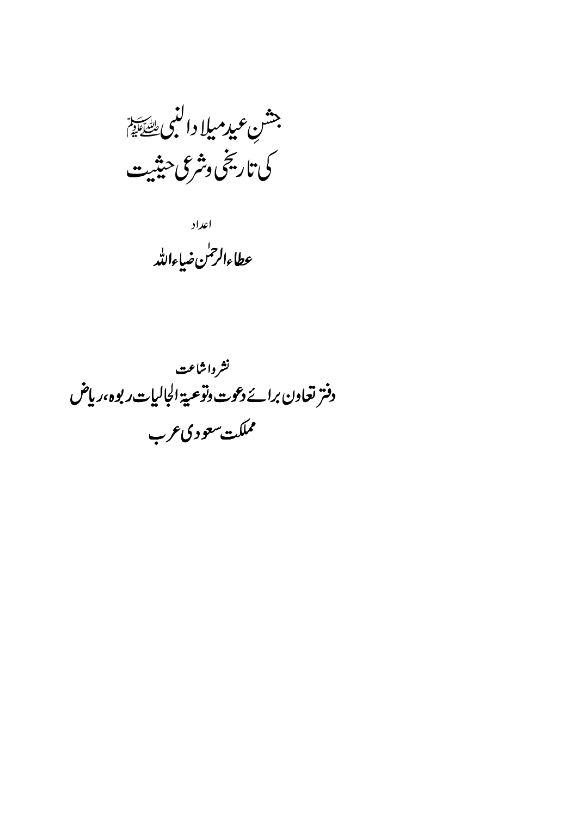جشن عيدميلا دالنبى يقيقة كى تاريخى وشرعى حنثيت

اعداد عطاءالرحمٰن ضاءالله

نشرواشاعت دفتر تعاون برائے دعوت وتوعیة الجالیات ربوہ،ریاض مملكت سعوديءرب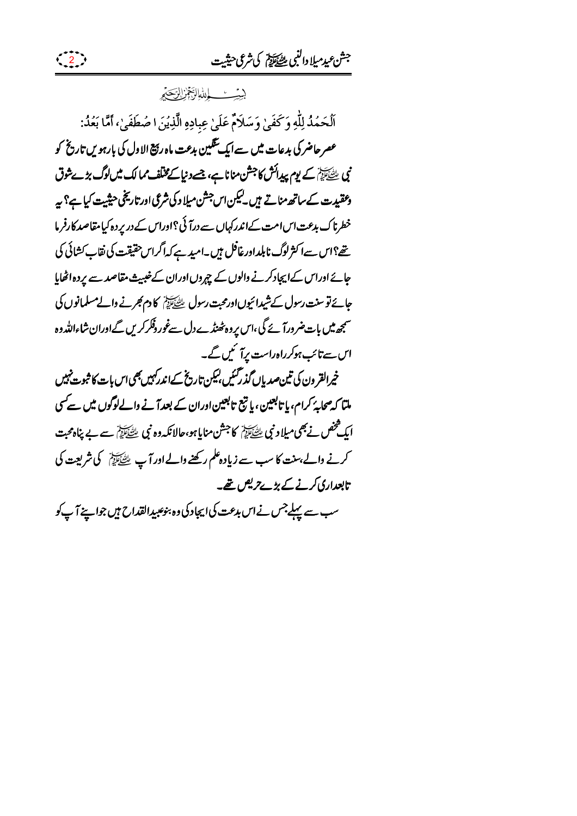## بيي<u>ئ باشالزَبْجُزْ بِلزَبِ</u>جَبِرِ

 $\left(\begin{array}{c} 2 \end{array}\right)$ 

ٱلۡحَمۡدُ لِلَّهِ وَكَفَىٰ وَسَلَامٌ عَلَىٰ عِبادِهِ الَّذِيۡنَ ا صُطَفَىٰ، أَمَّا بَعۡدُ: عصر حاضر کی بدعات میں سےایک تنگین بدعت ماہ رہیج الاول کی بارہویں تاریخ کو نی ﷺ کے یوم پیدائش کا جشن منانا ہے، جسے دنیا کے مخلف ممالک میں لوگ بڑےشوق وعقیدت کے ساتھ مناتے ہیں۔لیکن اس<sup>جش</sup>ن میلا دکی شرعی اور تاریخی حیثیت کیا ہے؟ یہ خطرناک بدعت اس امت کےاندرکہاں سے درآئی؟اوراس کے در پر دہ کیامقاصد کارفر ما تھے؟اس سےا کثر لوگ نابلداورغا<sup>ف</sup>ل ہیں۔امید ہے کہاگراس حقیقت کی نقاب *ک*شائی کی جائے اوراس کےاپچادکرنے والوں کے چپروں اوران کےخیبیث مقاصد سے پردہ اٹھایا جائےنو سنت رسول کےشیدائیوںاورمحبت رسول ﷺ کا دم کجرنے والے مسلمانوں کی سمجھ میں بات ضرورآ ئے گی،اس پروہ ٹھنڈے دل سےغور دفکر کریں گےاوران شاءاللہ دہ اس سے تائب ہوکرراہ راست پرآ ئیں گے۔ خپرالقر ون کی تین صدیاں گذرگئیں بیکن تاریخ کےاندرکہیں بھی اس بات کا ثبوت نہیں ملتا کہ صحابۂ کرام، یا تابعین، یا تبع تابعین اوران کے بعد آنے والےلوگوں میں سے کسی ایک مخص نے بھی میلا د نبی طِتِّخَانِہُمْ کا جشن منایا ہو،حالانکہ وہ نبی طِتِّخَانِہُمْ سے بے پناہ محبت کرنے والے بہنت کا سب سے زیادہ علم رکھنے والے اور آپ ﷺ کی شریعت کی تابعداری کرنے کے بڑے *تریص تھے۔* سب سے پہلےجس نے اس بدعت کی ایجاد کی وہ بنوعبیدالقداح ہیں جواپنے آپ کو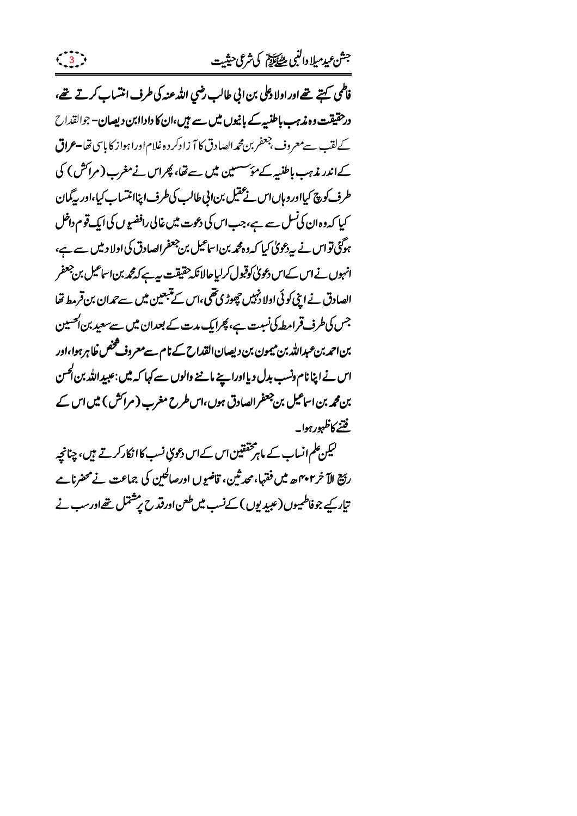فاطمى كہتے تھےاور اولادعلى بن الى طالب رضي الله عنه كى طرف انتساب كرتے تھے، درحقیقت وہ مذہب باطنبیک بانیوں میں سے ہیں،ان کا داداابن دیصان– جوالقداح کےلقب سےمعروف جعفربن محمدالصادق کا آ زادکر دہ غلام اورا ہواز کا پاسی تھا۔عراق کےاندر مذہب باطنیہ کےمؤسسین میں سے تھا، پھراس نےمغرب (مراکش) کی طرف کوچ کیااور وہاںاس نے عقیل بن انی طالب کی طرف اپناانتساب کیا،اور بیگیان کیا کہ وہ ان کی نسل سے ہے، جب اس کی دعوت میں غالی رافضیو ں کی ایک قوم داخل ہوگئی تو اس نے پہ دعویٰ کیا کہ وہ محمد بن اساعیل بن جعفرالصادق کی اولا دیں سے ہے، انہوں نے اس کےاس دعویٰ کوقبول کرلیا جالانکہ حقیقت ہے۔ کے گھرین اساعیل بن جعفر الصادق نے اپنی کوئی اولا دنہیں چھوڑی تھی،اس کے تبعین میں سے تمدان بن قرمط تھا جس کی طرف قرامطہ کی نسبت ہے، پھرایک مدت کے بعدان میں سے سعید بن الحسین بن احمد بن عبدالله بن ميمون بن ديصان القداح كے نام سے معروف څخص ظاہر ہوا،اور اس نے اپنا نام دنسب بدل دیااورا ہینے ماننے والوں سے کہا کہ میں :عبیدِ اللہ بن اُحسن بن محمہ بن اساعیل بن جعفر الصادق ہوں،اس طرح مغرب ( مرائش ) میں اس کے فتنبر كاظهور ہوا۔

 $\frac{3}{3}$ 

لیکن علم انساب کے ماہر مخفقین اس کےاس دعویٰ نسب کا انکار کرتے ہیں، چنانچہ ربَّةِ الآخر ٢٠٢م ه ميں فقہا، محدثین، قاضوں اورصالحین کی جماعت نے محضرنامے تبار کیے جوفاطمیپوں (عبید یوں ) کےنسب میں طعن اورقدح پر مشتمل تھےاورسب نے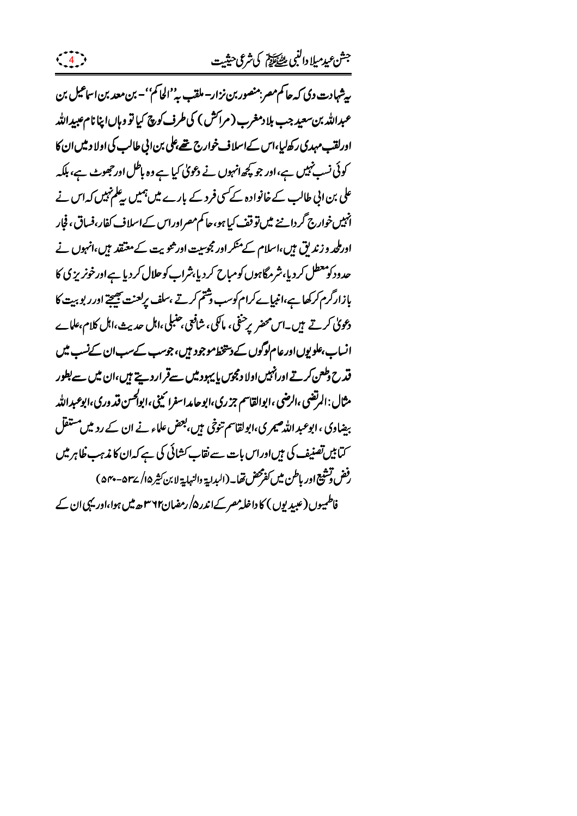پیشہادت دی کہ جا کم مصر بمنصور بن نزار۔ ملقب بہ''الحا کم''۔ بن معد بن اساعیل بن عبدالله بن سعید جب بلا دمغرب ( مراکش ) کی طرف کوچ کیا تو وہاںا بنا نام عبیداللہ اورلقب مہدی رکھ لیا،اس کےاسلاف خوارج تھے علی بن الی طالب کی اولا دیں ان کا کوئی نسب نہیں ہے،اور جو پچھ انہوں نے دعویٰ کیا ہے وہ باطل اور جھوٹ ہے، ہلکہ علی بن ابی طالب کے خانوادہ کے سی فرد کے بارے میں ہمیں پہلم نہیں کہ اس نے انہیں خوارج گر داننے میں تو قف کیا ہو، حا کم مصراوراس کے اسلاف کفار،فساق، فجار اورطحد و زندیق ہیں،اسلام کے منکر اور مجوسیت اور ثنویت کے معتقد ہیں،انہوں نے حدود کومعطل کردیا،شرمگاہوں کومباح کردیا،شراب کوحلال کردیا ہے اورخونریز پی کا بإزارگرم کرکھا ہے،انبیاےکرام کوسب وشتم کرتے ،سلف پرلعنت بھیجتے اور ر بو بہت کا دعویٰ کرتے ہیں۔اس محضر پرحنفی، ماکیی، شافعی جنبلی،اہل حدیث،اہل کلام،علابے انساب،علویوںاورعام لوگوں کے دینخط موجود ہیں، جوسب کےسب ان کےنسب میں قدح دطعن کرتے اورانہیں اولا دمجوں پا پہود میں سےقراردیتے ہیں،ان میں سے بطور مثال:المرتضى،الرضى،ابوالقاسم جزري،ابوحامداسفرا ئيني،ابوا*كحسن قد دري،ابوعبد*الله بیضاوی ، ابوعبد اللہ صیمری،ابولقاسم تنوخی ہیں،بعض علماء نے ان کے ردیں مستقل کتابیں تصنیف کی ہیںاوراس بات سے نقاب کشائی کی ہے کہ ان کا مذہب خلابر میں رفض توشيع اور باطن ميں كفرمحض نفايہ (البداية والنہاية لا بن كثير ۱۵/ ٣۵- ٥٣٠ ) فاطمیوں (عیبد یوں ) کا داخلہ مصر کےاندر ۵/ رمضان۲۶۲ ہے میں ہوا،اور یہی ان کے

 $\left(\begin{array}{c} 4 \end{array}\right)$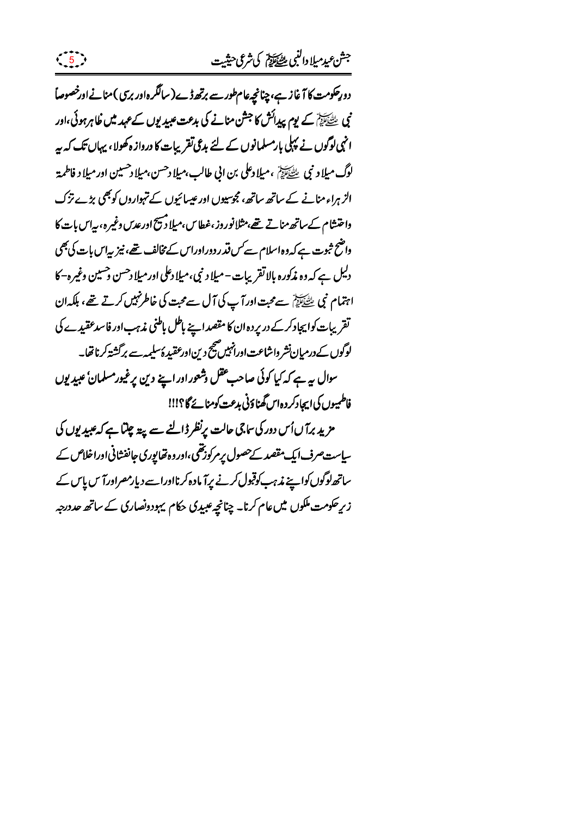دورِحکومت کا آغاز ہے، چنانچہ عام طور سے برتھ ڈے(سالگرہاور برسی) منانےاورخصوصاً نی سے ایک کے یوم پیدائش کا جشن منانے کی بدعت عبیدیوں کے *عہد* میں ظاہرہوئی،اور انہی لوگوں نے پہلی بارمسلمانوں کے لئے بدعی تقریبات کا درواز ہ کھولا، یہاں تک کہ بیہ لوگ ميلاد نبي ﷺ ،ميلادعلى بن ابي طالب،ميلادحسن،ميلادحسين اور ميلاد فاطمة الزہراء منانے کے ساتھ ساتھ، مجوسپوں اور عیسائیوں کے تہواروں کو بھی بڑے نزک داختشام کےساتھ مناتے تھے،مثلانوروز ،غطاس،میلادیبج ادرعدس دغیرہ، بیاس بات کا واضح ثبوت ہے کہ وہ اسلام سے *کس فذ*ر دوراوراس کے مخالف تھے، نیز <sub>س</sub>پاس بات کی بھی دلیل ہے کہ وہ مذکورہ بالاتقریبات - میلا د نبی،میلا دعلی اورمیلا دحسن حسین وغیرہ–کا اہتمام نبی ﷺ سےمحت اورآپ کی آل سےمحت کی خاطرنہیں کرتے تھے، ہلکہان تقریبات کوایجاد کرکے در پردہ ان کا مقصد اپنے باطل باطنی مذہب اور فاسدعقیدے کی لوگوں کےدرمیان نشر واشاعت اورانہیں صحیح دین اورعقبیدۂ سلیمہ سے برگشتہ کرناتھا۔ سوال ہہ ہے کہ کیا کوئی صاحب عقل وشعور اور اپنے دین پرغیورمسلمانٴ عبید یوں فاطمیوں کی ایجادکر د ہاس گھناؤنی بدعت کومنائے گا؟!!! مزید برآ ںاُس دور کی ساجی حالت پرنظر ڈالنے سے پۃ چلتا ہے کہ عبیدیوں کی سیاست صرف ایک مقصد کےحصول پر مرکوزتھی ،اور وہ تھا پوری جانفشانی اوراخلاص کے ساتھ لوگوں کواپنے مذہب کوقبول کرنے پرآ مادہ کرنااوراسے دیارمصراورآس پاس کے زیر حکومت ملکوں میں عام کرنا۔ چنانچہ عبیدی حکام یہودونصاری کے ساتھ حددرجہ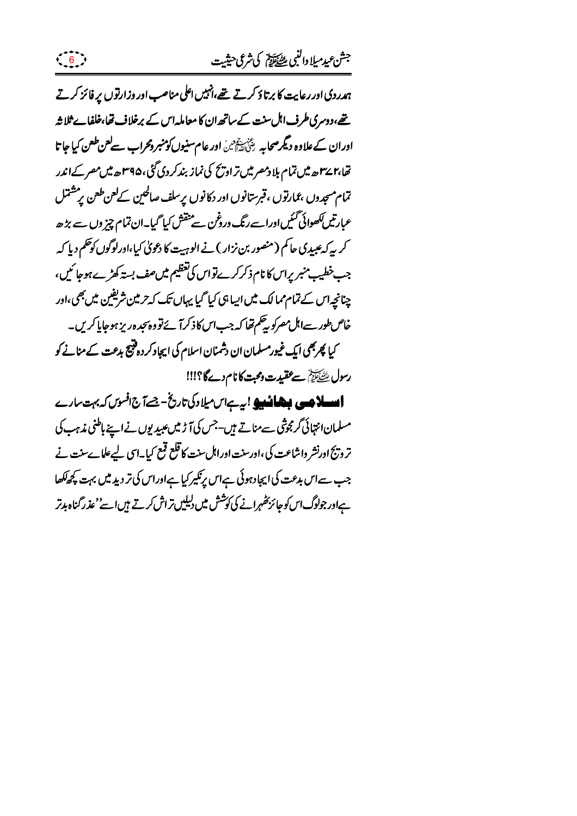ہدردی اور رعایت کا برتاؤ کرتے تھے،انہیں اعلی مناصب اور وزارتوں پر فائز کرتے تھے،دوسری طرف اہل سنت کے ساتھ ان کا معاملہ اس کے برخلاف تھا،خلفاے ثلاثہ اوران کےعلاوہ دیگر صحابہ پخ سقینی اور عام سنیوں کومنبر دمحراب سے کعن طعن کیا جا تا تھا،۲۷سے میں تمام ہلا دمصر میں تراویح کی نماز بندکر دی گئی،۴۹۵سے میں مصر کےاندر تمام مسجدوں ،عمارتوں ،قبرستانوں اور دکانوں پرسلف صالحین کےلعن طعن پرمشتمل عبارتیں ککھوائی گئیںاوراسے رنگ دروخن سے منقش کیا گیا۔ان تمام چیز وں سے بڑھ کر پہ کہ عبیدی حاکم (منصور بن نزار ) نے الوہیت کا دعویٰ کیا،اورلوگوں کوحکم دیا کہ جب خطیب منبر پراس کا نام ذکر کرے تواس کی تعظیم میں صف بستہ کھڑے ہوجا ئیں، چنانچہاس کے تمام ممالک میں ایبا ہی کیا گیا یہاں تک کہ حرمین شریفین میں بھی،اور خاص طور سےاہل مصرکو بیٹھم تھا کہ جب اس کا ذکر آ ئے تو وہ سجد ہوریز ہو جاپا کریں۔ کیا پھربھی ایک غیورمسلمان ان دشمنان اسلام کی ایجاد کردہ فتیح بدعت کے منانے کو رسول لِسَيَابِيَ سے عقيدت ومحبت كا نام دےگا؟!!!

**ایسادی، بیشان ی**و!بہ ہلادکی تاریخ-جسےآج افسوں کہ بہت سارے مسلمان انتہائی گرمچوشی سے مناتے ہیں۔جس کی آڑ میں عبید یوں نے اپنے باطنی مذہب کی تر وزیَ اورنشر واشاعت کی،اورسنت اوراہل سنت کا قلع قبع کیا۔اس لیےعلماےسنت نے جب سےاس بدعت کی ایجادہوئی ہےاس پرنکیرکیا ہےاوراس کی تر دید میں بہت کچھاکھا ہےاور جولوگ اس کوجائز پھہرانے کی کوشش میں دلیلیں تراش کرتے ہیں اسے' عذر گناہ ہدتر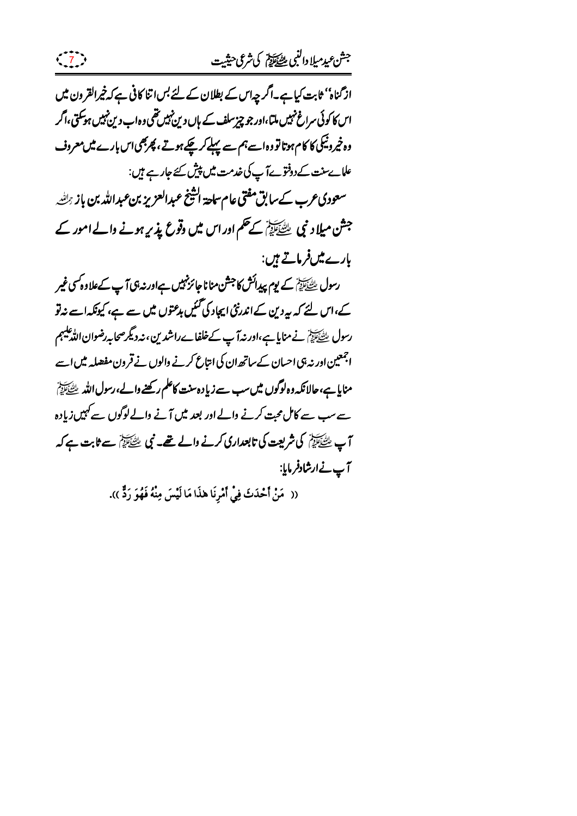از گناہ'' ثابت کیا ہے۔اگر چہاس کے بطلان کے لئے بس اتنا کافی ہے کہ خیرالقرون میں اس کا کوئی سراغ نہیں ملتا،اور جو چیز سلف کے ہاں دین نہیں تھی وہ اب دین نہیں ہوسکتی،اگر وہ خپروٹیکی کا کام ہوتا تو وہ اسے ہم سے پہلے کرچکے ہوتے ، پھربھی اس بارے میں معروف علاسے سنت کے دوفتو ہےآ پ کی خدمت میں پیش کئے جارہے ہیں: سعودی عرب کے سابق مفتی عام ساحة اشیخ عبدالعزیز بن عبدالله بن باز <sub>ت</sub>حلطه جشن میلاد نبی ﷺ کے حکم اور اس میں وقوع پذیر ہونے والے امور کے بارے میںفرماتے ہیں: رسول ﷺ کے یوم پیدائش کا جشن منانا جائز نہیں ہےاور نہ ہی آپ کےعلاوہ کسی غیر کے،اس لئے کہ بیردین کےاندرنٹی ایجاد کی گئیں بدعتوں میں سے ہے، کیونکہ اسے نہ تو رسول ﷺ نے منایا ہے،اور نہ آپ کےخلفا بے راشدین ، نہ دیگر صحابہ رضوان اللہ علیہم اجمعین اور نہ ہی احسان کے ساتھ ان کی انتاع کرنے والوں نے قرون مفصلہ میں اسے منایا ہے،حالانکہ دہ لوگوں میں سب سے زیادہ سنت کاعلم رکھنے دالے،رسول اللہ ﷺ سے سب سے کامل محبت کرنے والے اور بعد میں آنے والےلوگوں سے کہیں زیادہ آپ طِتَّيٰٓاتِہِمْ کی شریعت کی تابعداری کرنے والے تھے۔ نبی طِتَّيٰٓاتِہمْ سے ثابت ہے کہ آپ نےارشادفرمایا:

(( ۖ مَنْ أَحْدَثَ فِيْ أَمْرِنَا هٰذَا مَا لَيْسَ مِنْهُ فَهُوَ رَدٌّ )).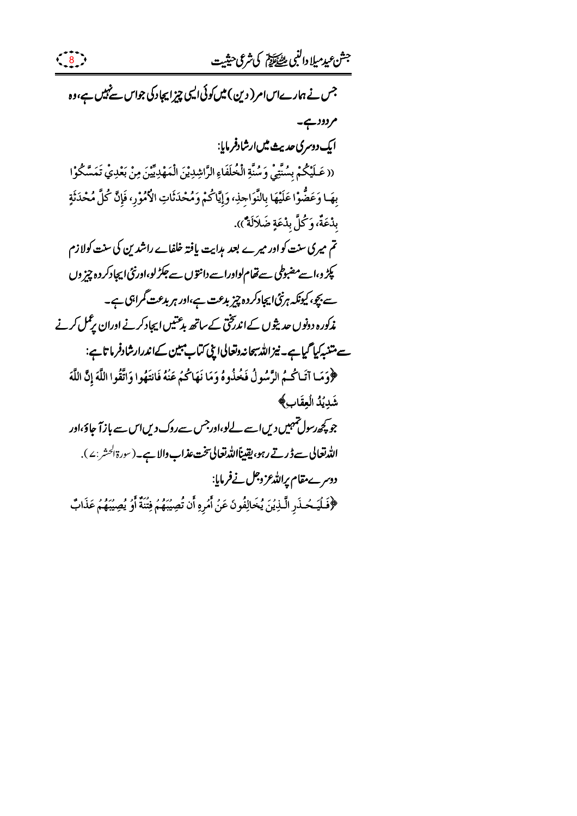جشعيدميلا دالنبي للصكاية كي شرعي حيثيت

جس نے ہمارےاسام(دین) میں کوئی الیپی چیز ایجاد کی جواس سے نہیں ہے،وہ مردود ہے۔ ایک دوسری حدیث میں ارشادفر مایا: (( عَلَيْكُمْ بِسُنَّتِيْ وَسُنَّةِ الْخُلَفَاءِ الرَّاشِدِيْنَ الْمَهْدِيِّينَ مِنْ بَعْدِيْ تَمَسَّكُوْا بهَـا وَعَضُّوْا عَلَيْهَا بِالنَّوَاجِذِ، وَإِيَّاكُمْ وَمُحْدَثَاتِ الْأُمُوْرِ، فَإِنَّ كُلَّ مُحْدَثَةٍ بدْعَةٌ، وَكُلَّ بدْعَةٍ ضَلاَلَةٌ)). تم میری سنت کواور میرے بعد ہدایت یافتہ خلفاے راشدین کی سنت کولازم پکڑ و،اسے مضبوطی سے تھام لواوراسے دانتوں سے جکڑ لو،اورنٹی ایجادکر دہ چیز وں سے بچو، کیونکہ ہرنٹی ایجادکر دہ چیز بدعت ہے،اور ہر بدعت گمراہی ہے۔ مذکورہ دونوں حدیثوں کےاندریختی کے ساتھ بدعتیں ایجاد کرنے اوران پرعمل کرنے سے متنبہ کیا گیا ہے۔ نیز اللہ سجانہ دتعالی اپنی کتاب مبین کےاندرارشادفر ماتا ہے: ﴿وَمَا آتَاكُمُ الرَّسُولُ فَخُذُوهُ وَمَا نَهَاكُمُ عَنۡهُ فَانتَهُوا وَاتَّقُوا اللَّهَ إِنَّ اللَّهَ شَدِيدُ الُعِقَابِ﴾ جو پچھ رسول تہہیں دیں اسے لےلو،اور جس سےروک دیں اس سے باز آ جاؤ،اور الدّْرْتعالى سے ڈرتے رہو، یقیناًالدّْرتعالى تخت عذاب والا ہے۔(سورۃالحشر:٤). دوسرے مقام پراللہ عزوجل نےفرمایا: ﴿فَلَيَحۡذَرِ الَّذِيۡنَ يُخَالِفُونَ عَنۡ أَمُرِهِ أَن تُصِيۡنَهُمۡ فِتَنَةٌ أَوۡ يُصِيۡنَهُمۡ عَذَابٌ

 $\begin{pmatrix} 8 \end{pmatrix}$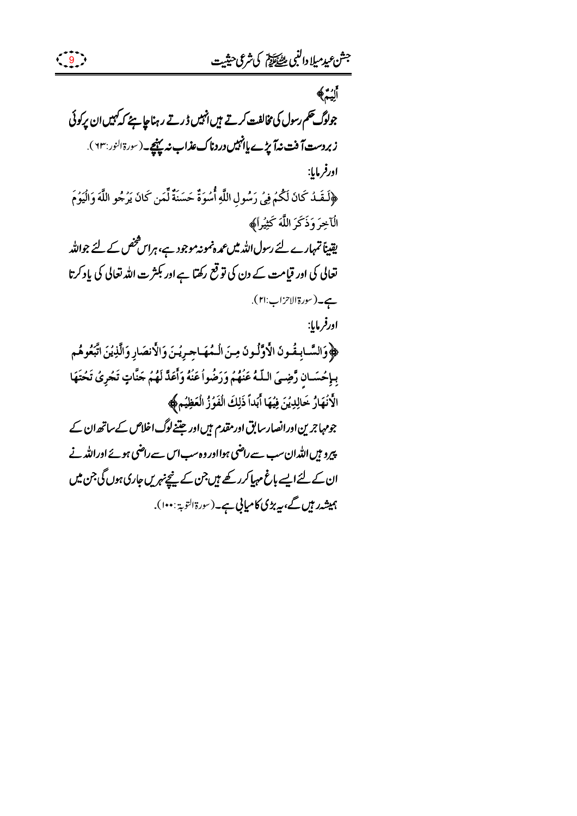ألِيمُ﴾ جولوگ حکم رسول کی مخالفت کرتے ہیں انہیں ڈرتے رہنا چاہئے کہ کہیں ان پرکوئی زبردست آفت نداً پڑے پاانہیں دردناک عذاب نہ پہنچے۔(سورۃالنور:٦٣). اورفرمايا: ﴿لَقَـٰذُ كَانَ لَكُمۡ فِيۡ رَسُولِ اللَّهِ أُسۡوَةٌ حَسَنَةٌ لِّمَن كَانَ يَرۡجُو اللَّهَ وَالۡيَوۡمَ الْآخِرَ وَذَكَرَ اللَّهَ كَثِيْراً﴾ یقیناً تمہارے لئے رسول اللہ میں عمدہ نمونہ موجود ہے، ہراس شخص کے لئے جواللہ تعالی کی اور قیامت کے دن کی تو قع رکھتا ہے اور بکثرت اللہ تعالی کی پاد کرتا ہے۔(سورة الاحزاب:۲۱). اورفرمايا: ﴿وَالسَّابِمَٰونَ الْأَوَّلُونَ مِنَ الْمُهَاجِرِيْنَ وَالْأَنصَارِ وَالَّذِيْنَ اتَّبَعُوهُم بِإِحُسَانِ رَّضِيَ اللَّهُ عَنْهُمُ وَرَضُواُ عَنْهُ وَأَعَدَّ لَهُمْ جَنَّاتٍ تَجْرِيُ تَحْتَهَا الأَنْهَارُ خَالِدِيْنَ فِيُهَا أَبَداً ذَلِكَ الْفَوُزُ الْعَظِيُمِ، جومہاجرین اورانصار سابق اور مقدم ہیں اور جتنے لوگ اخلاص کے ساتھ ان کے پیرو ہیں اللہ ان سب سے راضی ہوااور وہ سب اس سے راضی ہوئے اوراللہ نے ان کے لئے ایسے باغ مہیا کرر کھے ہیں جن کے پنچےنہریں جاری ہوں گی جن میں ہمیشہ رہیں گے، پیربڑی کامیابی ہے۔(سورۃالتوبۃ: ۱۰۰).

 $\left(\begin{array}{c}9\end{array}\right)$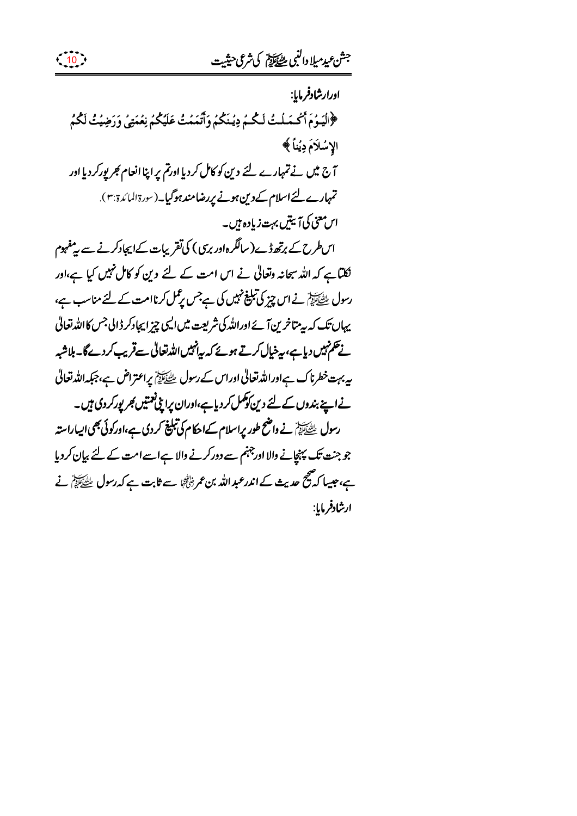ادرارشادفرمايا: ﴿الْيَهُمَ أَكُسَلَتُ لَكُمُ دِيُنَكُمُ وَأَتَمَمُتُ عَلَيْكُمُ نِعُمَتِي وَرَضِيَتُ لَكُمُ الإسُلَامَ دِيُناً ﴾ آج میں نے تمہارے لئے دین کو کامل کردیا اورتم پر اپنا انعام کجر پورکردیا اور تمہارے لئے اسلام کےدین ہونے پر بضامند ہوگیا۔(سورۃالمائدۃ بہ). اس معنی کی آبیتیں بہت زیادہ ہیں۔ اس طرح کے برتھ ڈے(سالگرہ اور بری) کی تقریبات کےایجادکرنے سے پیٹھہوم نکلناہے کہ اللہ سمحانہ وتعالیٰ نے اس امت کے لئے دین کو کامل نہیں کیا ہے،اور رسول ﷺ نے اس چیز کی تبلیغ نہیں کی ہےجس پڑ کل کرناامت کے لئے مناسب ہے،

 $\left( \begin{array}{c} 10 \\ 1 \end{array} \right)$ 

یہاں تک کہ بہ متاخرین آئے اوراللہ کی شریعت میں ایپی چز ایجادکر ڈالی جس کااللہ تعالیٰ نے تکم نہیں دیاہے، بیٹیال کرتے ہوئے کہ بیانہیں اللہ تعالیٰ سے قریب کردےگا۔ ہلاشبہ بیہ بہت خطرناک ہےاوراللہ تعالیٰ اوراس کے رسول ﷺ پراعتراض ہے،جبکہ اللہ تعالیٰ نےاپنے بندوں کے لئے دین کوکمل کردیا ہے،اوران پرای فیتیں کھر پورکر دی ہیں۔ رسول ﷺ نے داضح طور پراسلام کےاحکام کی تبلیغ کر دی ہے،اورکوئی بھی ایساراستہ جو جنت تک پہنچانے والا اور جہنم سے دورکرنے والا ہےاسےامت کے لئے بیان کردیا ہے،جیپا کہ صحیح حدیث کے اندرعبد اللہ بن عمر ٹِٹاتُوْ سے ثابت ہے کہ رسول ﷺ نے ارشادفرمايا: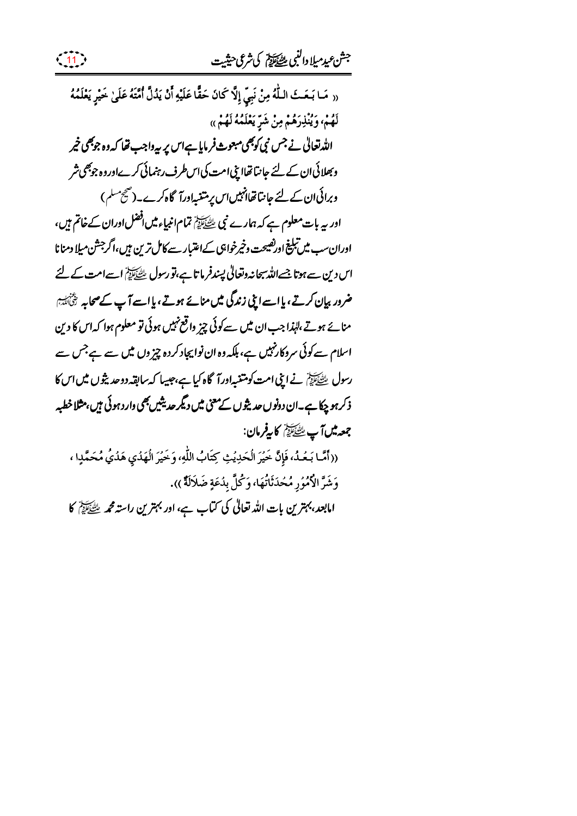(( مَا بَعَثَ اللَّهُ مِنْ نَبِيٍّ إِلَّا كَانَ حَقًّا عَلَيْهِ أَنْ يَدُلَّ أُمَّتَهُ عَلَىٰ خَيْرٍ يَعْلَمُهُ لَهُمْ، وَيُنْذِرَهُمْ مِنْ شَرٍّ يَعْلَمُهُ لَهُمْ)) اللہ تعالٰی نے جس نی کوبھی مبعوث فرمایا ہےاس پر بیہ داجب تھا کہ وہ جوبھی خیر وبھلائی ان کے لئے جانتا تھااپنی امت کی اس طرف رہنمائی کرےاوروہ جوبھی شر وبرائی ان کے لئے جانتا تھاانہیں اس پر متنبہاورآ گاہ کرے۔(صحیح مسلم) اور بیہ بات معلوم ہے کہ ہمارے نبی ﷺ تمام انبیاء میں افضل اوران کے خاتم ہیں، اوران سب میں تبلیغ اور نصیحت وخیرخواہی کےاعتبار سے کامل ترین میں،اگر جشن میلا دمنا نا اس دین سے ہوتا جسے اللہ سمحانہ وتعالیٰ پسندفر ما تا ہے،تو رسول ﷺ اسے امت کے لئے ضرور بیان کرتے، یااسےایپی زندگی میں منائے ہوتے، یااسے آپ کےصحابہ رَثْیٰٓاَ یُہَا منائے ہوتے،لہٰذا جب ان میں سےکوئی چیز واقع نہیں ہوئی تو معلوم ہوا کہ اس کا دین اسلام سے کوئی سردکارنہیں ہے، ہلکہ وہ ان نوایچاد کردہ چیز وں میں سے ہے جس سے رسول ﷺ نے اینی امت کومتنیہ اورآ گاہ کیا ہے،جیپیا کہ سابقہ دوحد پثوں میں اس کا ذکر ہو چکا ہے۔ان دونوں حدیثوں کےمعنی میں دیگر حدیثیں بھی دارد ہوئی ہیں،مثلا خطبہ جمعہ میں آپ ﷺ کا پیفرمان: ((أَمَّا بَعُدُ، فَإِنَّ خَيْرَ الْحَدِيُثِ كِتَابُ اللَّهِ، وَخَيْرَ الْهَدُي هَدُيُّ مُحَمَّدٍا ، وَشَرَّ الْأَمُورِ مُحْدَثَاتُهَا، وَكُلَّ بِدُعَةٍ ضَلَالَةٌ )).

امابعد، بہترین بات اللہ تعالیٰ کی کتاب ہے، اور بہترین راستہ محمہ ﷺ کا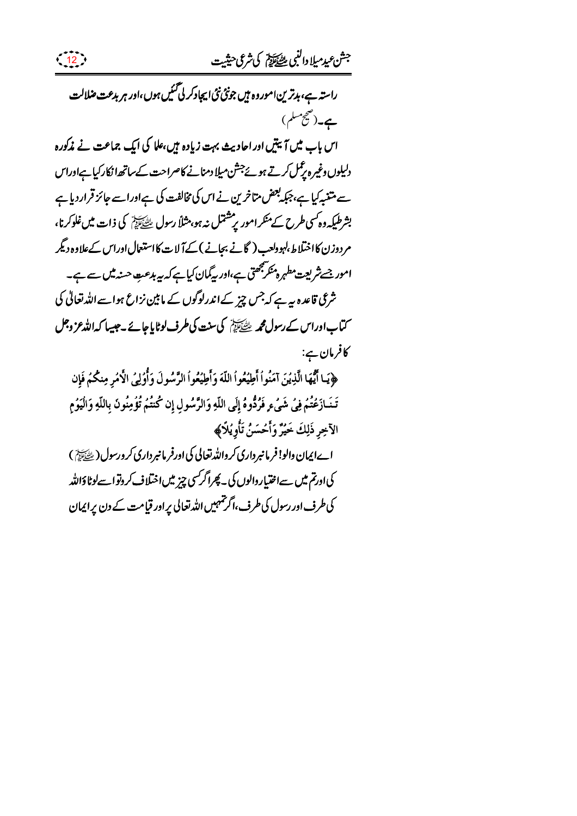



 $\frac{12}{12}$ 

﴿يَا أَيُّهَا الَّذِينَ آمَنُواْ أَطِيُعُواْ اللَّهَ وَأَطِيُعُواْ الرَّسُولَ وَأُوْلِيُ الْأَمُرِ مِنكُمْ فَإِن تَخَازَعُتُمْ فِي شَيْءٍ فَرُدُّوهُ إِلَى اللَّهِ وَالرَّسُولِ إِن كُنتُمْ تُؤْمِنُونَ بِاللَّهِ وَالْيَوُمِ الآخِر ذَلِكَ خَيْرٌ وَأَحْسَنُ تَأُويُلَاَ ﴾

اےایمان والو! فرمانپرداری کرواللہ تعالی کی اورفر مانبرداری کرورسول (ﷺ) کی اورتم میں سےاختیار والوں کی ۔ پھراگر سی چیز میں اختلاف کر دنواسےلوٹاؤاللہ کی طرف اور رسول کی طرف،اگر تہہیں اللہ تعالی پراور قیامت کے دن پراپمان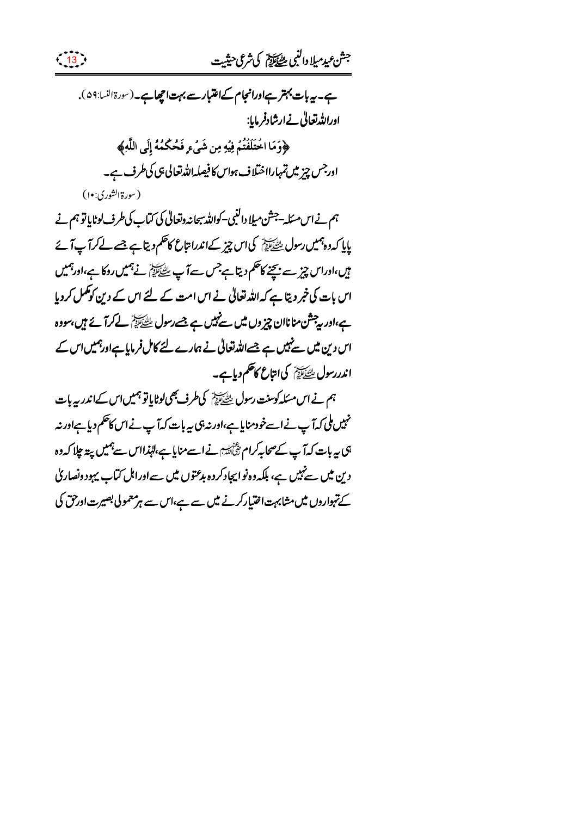## جشع يدميلا دالنبي للطياط كيثري حيثيت



(سورةالشوري:١٠)

ہم نے اس مسَلہ-جشن میلا داکنبی–کواللہ سبحانہ وتعالیٰ کی کتاب کی طرف لوٹایا تو ہم نے پایا کہ دہ ہمیں رسول ﷺ کی اس چیز کےاندرا تباع کاحکم دیتا ہے جسے لےکرآ پآ ئے میں،اوراس چیز سے بچنے کاحکم دیتا ہے جس سے آپ ﷺ نے ہمیں روکا ہے،اورہمیں اس بات کی خبر دیتا ہے کہ اللہ تعالیٰ نے اس امت کے لئے اس کے دین کوکمل کردیا ہے،اور بی<sup>جش</sup>ن مناناان چیز وں میں سے نہیں ہے جسے رسول ﷺ کے *کہ آئے ہیں،س*ووہ اس دین میں سے نہیں ہے جسے اللہ تعالیٰ نے ہمارے لئے کامل فرمایا ہےاورہمیں اس کے اندررسولﷺ کی انتاع کاحکم دیاہے۔

ہم نے اس مسکہ کوسنت رسول ﷺ کی طرف بھی لوٹایاتو ہمیں اس کےاندر بیہ بات نہیں ملی کہ آپ نے اسےخود منایاہے،اور نہ ہی یہ بات کہ آپ نے اس کاحکم دیا ہےاور نہ ہی ہہ بات کہ آپ کےصحابہ کرام پچُنائیہ نے اسےمنایا ہے،لہٰذااس سے ہمیں پید چلا کہ دہ دین میں سے نہیں ہے، ہلکہ وہ نو ایجاد کردہ ہدعتوں میں سے اوراہل کتاب یہود ونصار کی کے تہواروں میں مشابہت اختیارکرنے میں سے ہے،اس سے ہر معمولی بصیرت اورحق کی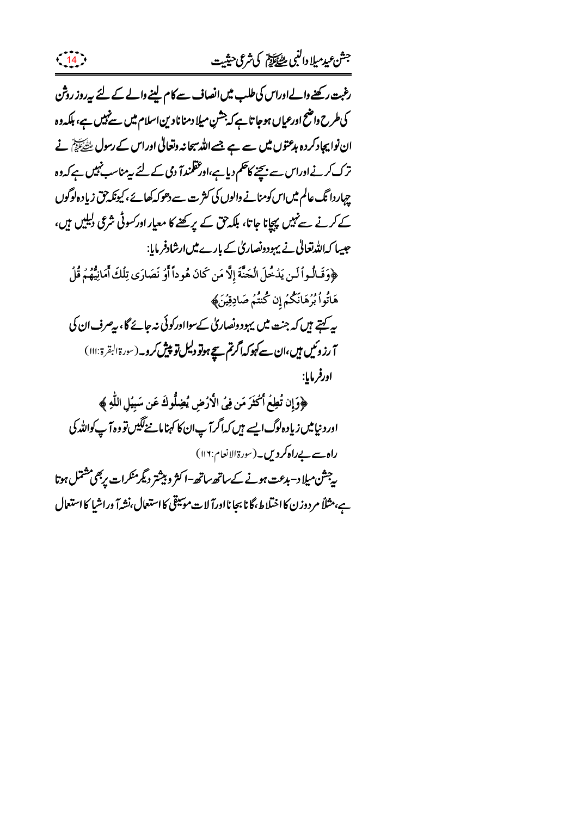رغبت رکھنے دالےادراس کی طلب میں انصاف سے کام لینے دالے کے لئے پیروز روش کی طرح واضح اورعیاں ہوجا تا ہے کہ جشن میلا دمنا نادین اسلام میں سےنہیں ہے، ہلکہ دہ ان نوابیجاد کردہ بدعتوں میں سے ہے جسے اللہ سبحانہ وتعالٰی اوراس کے رسول ﷺ نے ترک کرنے اوراس سے بیچنے کاظم دیا ہے،اور عقلمندآ دمی کے لئے ہیںمناسب نہیں ہے کہ دہ چہاردا تگ عالم میں اس کومنانے والوں کی کثر ت سے دھوکہ کھائے ، کیونکہ حق زیاد ہ لوگوں کے کرنے سے نہیں پیچانا جاتا، ہلکہ حق کے پر کھنے کا معیار اور کسوٹی شرعی دلیلیں ہیں، جیپا کہاللہ تعالٰی نے یہودونصاریٰ کے بارے میں ارشادفر مایا: ﴿وَقَـٰالُـواۡ لَـن يَدۡخُلَ الۡجَنَّةَ إِلَّا مَن كَانَ هُوداً أَوۡ نَصَارَى تِلۡكَ أَمَانِيُّهُمۡ قُلۡ هَاتُواْ بُرُهَانَكُمُ إِن كُنتُم صَادِقِيْنَ﴾ پہ کہتے ہیں کہ جنت میں یہود ونصاری کےسوااورکوئی نہ جائے گا، رصرف ان کی آ رزوئیں ہیں،ان سے کہوکہ اگرتم سیچ ہوتو دلیل تو پیش کرو۔(سورۃالبقرۃ:۱۱۱) اورفر مايا: ﴿وَإِن تُطِعُ أَكْثَرَ مَن فِي الْأَرُضِ يُضِلُّوكَ عَن سَبِيُلِ اللَّهِ ﴾ اور د نیامیں زیاد ہ لوگ ایسے ہیں کہ اگر آپ ان کا کہنا مانے لگیں تو وہ آپ کواللہ کی راہ سے بےراہ کر دیں۔(سورۃالانعام:۱۱۶) ر جشن میلا د– بدعت ہونے کے ساتھ ساتھ–ا کثر و بیشتر دیگرمنکرات پر بھی مشتمل ہوتا ہے،مثلاً مردوزن کا اختلاط،گانا بجا نااورآ لات موسیقی کا استعال،نشہآ وراشیا کا استعال

 $\frac{14}{14}$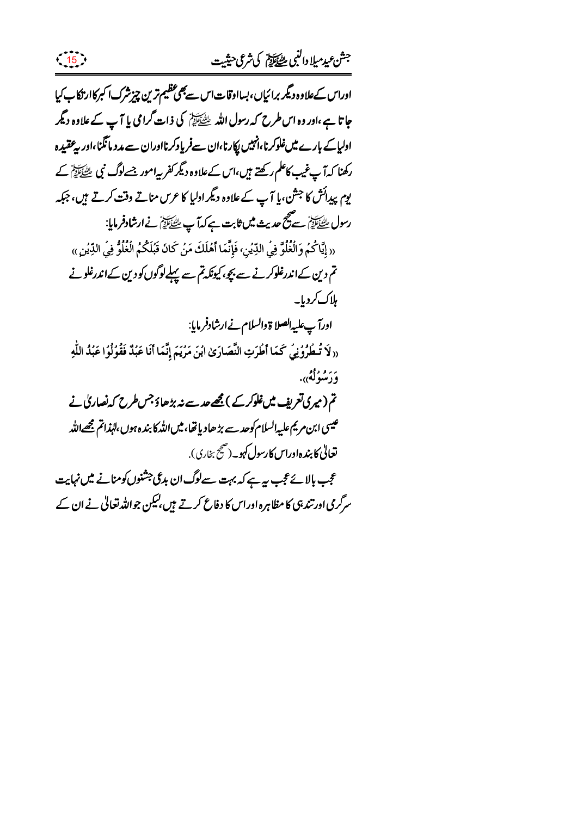اوراس کےعلاوہ دیگر برائیاں،بسااوقاتاس سے بھی عظیم ترین چیزشرک اکبرکاار تکاپ کیا جاتا ہے،اور وہ اس طرح کہ رسول اللہ ﷺ کی ذات گرامی یا آپ کے علاوہ دیگر ادلیاکے بارے میںغلوکرنا،انہیں پکارنا،ان سےفریادکرنااوران سے مدد مانگنا،اور یہ عقیدہ رکھنا کہ آپ غیب کاعلم رکھتے ہیں،اس کےعلاوہ دیگر کفر پیامور جسےلوگ نپی ﷺ کے یوم پیدائش کا جشن،یا آپ کے علاوہ دیگر اولیا کا عرس مناتے وقت کرتے ہیں، جبکہ رسول ﷺ سے مجمع عدیث میں ثابت ہے کہ آپ ﷺ نے ارشادفرمایا: « إِيَّاكُمُ وَالْغُلُوَّ فِي الدِّيُنِ، فَإِنَّمَا أَهُلَكَ مَنُ كَانَ قَبُلَكُمُ الْغُلُوُّ فِي الدِّيُنِ » تم دین کےاندرغلوکرنے سے بچو،کیونکہ تم سے پہلےلوگوں کو دین کےاندرغلونے ہلاک کردیا۔ ادرآ پ علیہالصلا ة والسلام نے ارشادفر مایا: «لَا تُطْرُونِي كَمَا أَطْرَتِ النَّصَارَىٰ ابْنَ مَرْيَمَ إِنَّمَا أَنَا عَبُدٌ فَقُولُوا عَبُدُ اللَّهِ وَرَسُولُهُ<sub>))</sub>. تم (میری تعریف میں غلوکر کے ) قیھے عد سے نہ بڑھاؤ جس طرح کہ نصار کی نے عیسی ابن مریم علیہ السلام کوحد سے بڑھادیا تھا، میں اللہ کا بندہ ہوں،لہٰذاتم مجھےاللہ **تعالٰی کابندہاوراس کارسول کہو۔**(صحیح بخاری). عجب ہالا ئے عجب سے ہے کہ بہت سےلوگ ان بدعی جشنوں کومنانے میں نہایت سرگرمی اور تند ہی کا مظاہرہ اوراس کا دفاع کرتے ہیں،لیکن جواللہ تعالیٰ نے ان کے

 $\left(\frac{15}{15}\right)$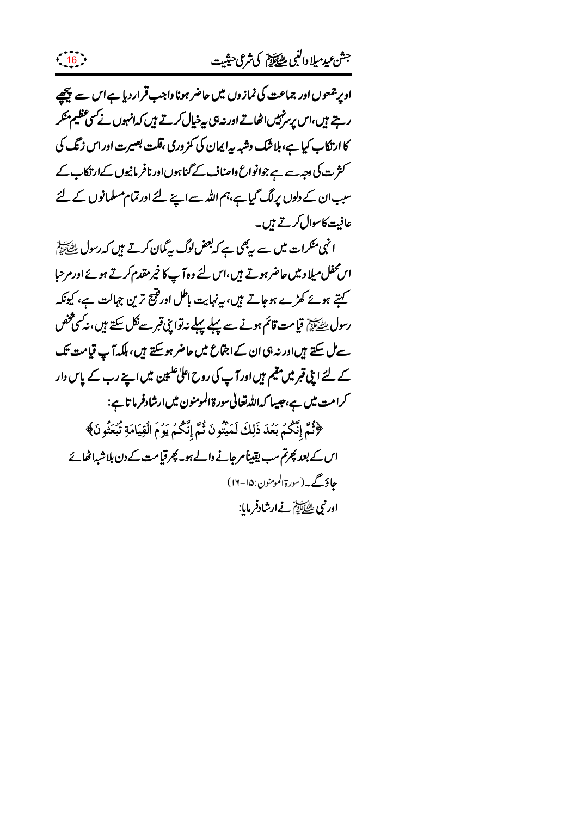ادیر جمعوں اور جماعت کی نمازوں میں حاضر ہونا واجب قراردیا ہےاس سے پیچھیے ریتے ہیں،اس پرسز پیں اٹھاتے اور نہ ہی پیٹےپال کرتے ہیں کہ انہوں نے سی عظیم منکر کا ارتکاب کیا ہے، ہلاشک وشبہ سرایمان کی کمزوری ،قلت بصیرت اور اس زنگ کی کثر ت کی دجہ سے ہے جوانواع داصناف کے گناہوں اور نافر مانیوں کےارتکاب کے سبب ان کے دلوں پرلگ گیا ہے،ہم اللہ سے اپنے لئے اورتمام مسلمانوں کے لئے عافیت کاسوال کرتے ہیں۔

 $\left( \frac{16}{15} \right)$ 

انہی منکرات میں سے ریکی ہے کہ بعض لوگ پیگمان کرتے ہیں کہ رسول ﷺ اس محفل میلا د میں حاضر ہوتے ہیں،اس لئے وہ آپ کا خیر مقدم کرتے ہوئے اور مرحبا کہتے ہوئے کھڑے ہوجاتے ہیں، یہ نہایت باطل اور فتیج ترین جہالت ہے، کیونکہ رسول ﷺ قیامت قائم ہونے سے پہلے پہلے نیاتوا بنی قبر سےنکل سکتے ہیں، نیکس فحض سے ٹل سکتے ہیںاور نہ ہی ان کے اجتماع میں حاضر ہو سکتے ہیں، بلکہ آپ قیامت تک کے لئے اپنی قبر میں مقیم ہیں اور آپ کی روح اعلیٰ علیمین میں اپنے رب کے پاس دار کرامت میں ہے،جیسا کہاللہ تعالیٰ سورۃ المومنون میں ارشادفر ما تاہے: ﴿نُمَّ إِنَّكُمْ بَعُدَ ذَلِكَ لَمَيِّتُونَ ثُمَّ إِنَّكُمْ يَوُمَ الْقِيَامَةِ تُبْعَثُونَ﴾ اس کے بعد پھرتم سب یقیناً مرجانے والے ہو۔ پھر قیامت کے دن بلاشبہ اٹھائے حاؤگے۔(سورة المومنون: ۱۵-۱۶) اور نبي ﷺ نےارشادفرمایا: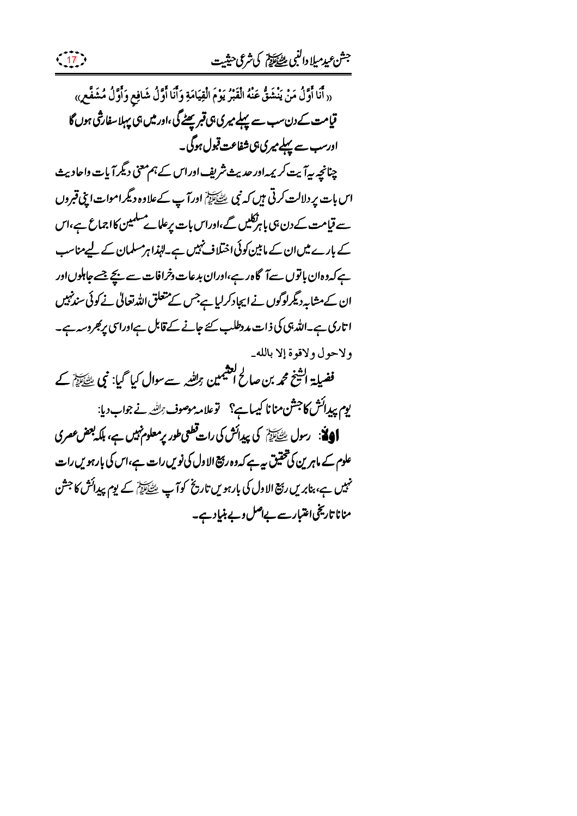« أَنَا أَوَّلُ مَنْ يَنْشَقُّ عَنْهُ الْقَبْرُ يَوْمَ الْقِيَامَةِ وَأَنَا أَوَّلُ شَافِعٍ وَأَوَّلُ مُشَفَّعٍ» قیامت کے دن سب سے پہلے میری ہی قبر پھٹے گی ،اور میں ہی پہلا سفارشی ہوں گا ادرسب سے پہلے میری،پیشفاعت قبول ہوگی۔ چنانچہ بیہآ بیت کر یمہ اور حدیث شریف اوراس کے ہم معنی دیگر آیات واحادیث اس بات پر دلالت کرتی ہیں کہ نبی ﷺ اورآ پ کےعلاوہ دیگراموات اپنی قبروں سے قیامت کے دن ہی باہرتکلیں گے،اوراس بات پر عل<sub>ا</sub>ے مسلمین کااجماع ہے،اس کے بارے میں ان کے ما بین کوئی اختلاف نہیں ہے۔لہٰذا ہرمسلمان کے لیےمناسب ہے کہ دہان باتوں سےآگاہ رہے،اوران بدعات دخرافات سے بچے جسے جاہلوںاور ان کےمشابہ دیگرلوگوں نے ایجادکرلیا ہےجس کے متعلق اللہ تعالیٰ نے کوئی سندنہیں ا تاری ہے۔اللہ ہی کی ذات مددطلب سے جانے کے قابل ہےاوراسی پرکبروسہ ہے۔ ولاحول ولاقوة إلا بالله\_ فضیلۃ اشیخ محمہ بن صالح التثیمین ہرللند سے سوال کیا گیا: نبی ﷺ کے یوم پیدائش کاجشن منانا کیبا ہے؟ توعلامہ موصوف راللہ نے جواب دیا: **اَدِيَّة**: رسول ﷺ کی پیدائش کی رات قطعی طور پر معلوم نہیں ہے، بلکہ بعض *عقر* کی علوم کے ماہرین کی تحقیق بیہ ہے کہ دہ ربیج الا دل کی نویں رات ہے،اس کی بارہویں رات مہیں ہے، بنابریں رہج الاول کی بارہویں تاریخ کوآپ ﷺ کے یوم پیدائش کا جشن منانا تاریخیا عتبارسے بےاصل دیے بنیاِد ہے۔

 $\frac{17}{17}$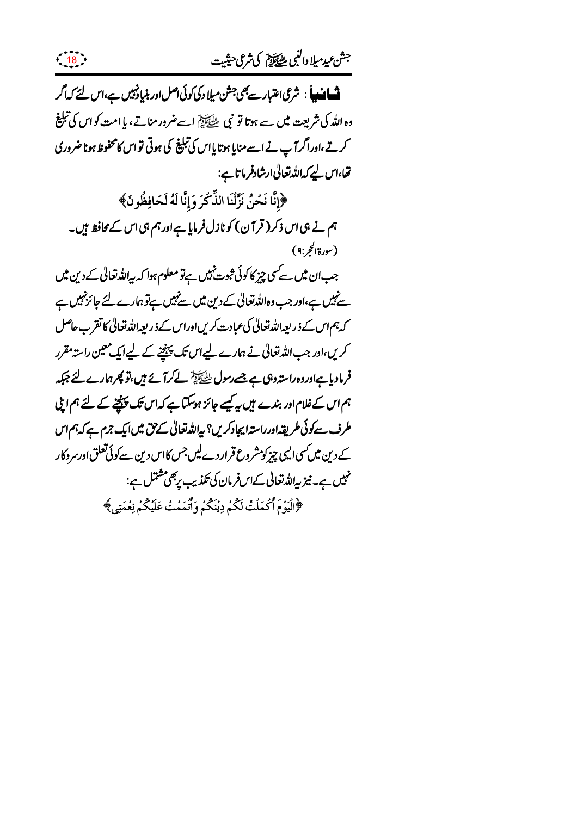**تْسَافْسِياً** : شرعى اعتبار سے بھى جشن مىلاد كى كوئى اصل اور بنيا دنہيں ہے،اس لئے كہ اگر وہ اللہ کی شریعت میں سے ہوتا تو نبی ﷺ اسےضرور مناتے، یا امت کواس کی تبلیغ کرتے،اوراگرآپ نے اسے منایا ہوتا پاس کی تبلیغ کی ہوتی تواس کامحفوظ ہونا ضروری تھا،اس لیے کہ اللہ تعالیٰ ارشادفر ما تاہے: ﴿إِنَّا نَحْنُ نَزَّلُنَا الذِّكْرَ وَإِنَّا لَهُ لَحَافِظُونَ﴾ ہم نے ہی اس ذکر ( قر آ ن) کو نازل فرمایا ہےاور ہم ہی اس کے محافظ ہیں۔ (سورةالحجر:٩) جب ان میں سے سی چیز کا کوئی ثبوت نہیں ہےتو معلوم ہوا کہ پیاللہ تعالیٰ کے دین میں سےنہیں ہے،اور جب وہ اللہ تعالیٰ کے دین میں سےنہیں ہےتو ہمارے لئے جائز نہیں ہے کہ ہم اس کے ذریعہ اللہ تعالیٰ کی عبادت کریں اوراس کے ذریعہ اللہ تعالیٰ کا تقرب حاصل کریں،اور جب اللہ تعالٰی نے ہمارے لیےاس تک پہنچنے کے لیےایک معین راستہ مقرر فرمادیا ہےاوروہ راستہ وہی ہے جسے رسول ﷺ لے کرآ بچ ہیں،تو پھرہمارے لئے جبکہ ہم اس کے غلام اور بندے ہیں بہ کیسے جائز ہوسکتا ہے کہ اس تک پینچنے کے لئے ہم اپنی طرف سےکوئی طریقہ اور راستہ ایجادکریں؟ بیاللہ تعالیٰ کے حق میں ایک جرم ہے کہ ہم اس کے دین میں کسی ایسی چیز کومشروع قرار دے لیں جس کااس دین سےکوئی تعلق اورسروکار نہیں ہے۔ نیز پہ<sub>ا</sub>للہ تعالیٰ کےاس فرمان کی تکذیب پر بھی مشتمل ہے: ﴿لَيُوۡمَ أَكۡمَلۡتُ لَكُمۡ دِيۡنَكُمۡ وَأَتَمَمۡتُ عَلَيۡكُمۡ نِعۡمَتِي ﴾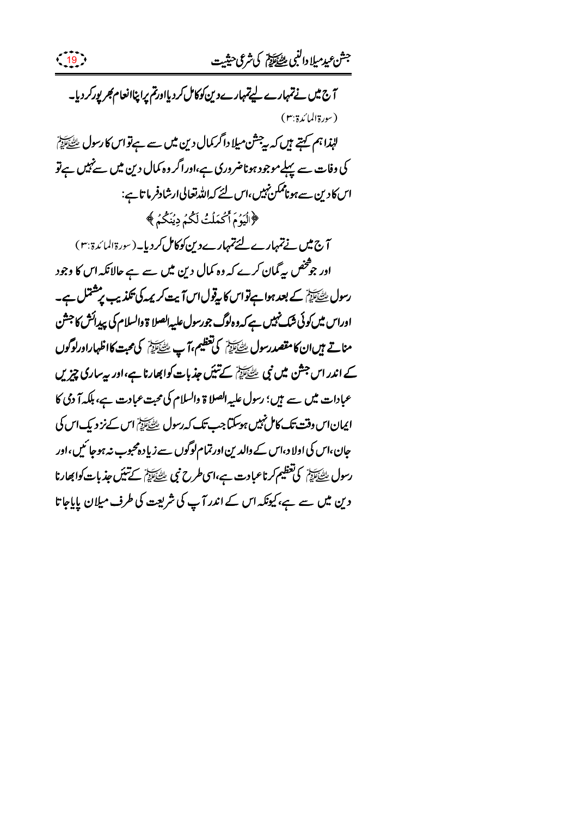جش عيدميلا دالنبي للصكالة كي شرعي حيثيت  $\frac{19}{19}$ آج میں نے تمہارے لیے تمہارے دین کوکامل کردیااورتم پراپناانعام کجر پورکر دیا۔ (سورة المائدة:٣) لہٰذا ہم کہتے ہیں کہ ہ چشن میلا داگر کمال دین میں سے ہےتو اس کا رسول ﷺ کی وفات سے پہلےموجود ہوناضروری ہے،اوراگر وہ کمال دین میں سے نہیں ہےتو اس کادین سے ہوناممکن نہیں،اس لئے کہ اللہ تعالی ارشادفر ما تاہے: ﴿الْيَوۡمَ أَكۡمَلۡتُ لَكُمۡ دِيۡنَكُمۡ ﴾ آج میں نے تمہارے لئے تمہارے دین کوکامل کردیا۔(سورۃالمائدۃ بہ) اور جو څخص په گمان کرے که وه کمال دین میں سے ہے حالانکہ اس کا وجود رسول ﷺ کے بعد ہوا ہےتواس کا پیوْل اس آیت کر یمہ کی بھڈیپ پر مشتمل ہے۔ اوراس میں کوئی شک نہیں ہے کہ وہ لوگ جورسول علیہ الصلا ۃ والسلام کی پیدائش کا جشن مناتے ہیںان کامقصدرسول ﷺ کی تعظیم،آپ طَیَّخَایِیْشِ کی محبت کااظہاراورلوگوں کے اندر اس جشن میں نبی ﷺ کے تنیک جذبات کوابھارنا ہے،اور بیہ ساری چیزیں عبادات میں سے ہیں؛ رسول علیہ الصلا ۃ والسلام کی محبت عبادت ہے، ہلکہ آ دمی کا ایمان اس وقت تک کامل نہیں ہوسکتا جب تک کہ رسول ﷺ اس کے نز دیک اس کی جان،اس کی اولا د،اس کے والدین اورتمام لوگوں سے زیادہ محبوب نہ ہوجا ئیں،اور رسول ﷺ کی تعظیم کرناعبادت ہے،اسی طرح نبی ﷺ کے تنیَں جذبات کوابھارنا دین میں سے ہے،کیونکہ اس کے اندر آپ کی شریعت کی طرف میلان پاپاجا تا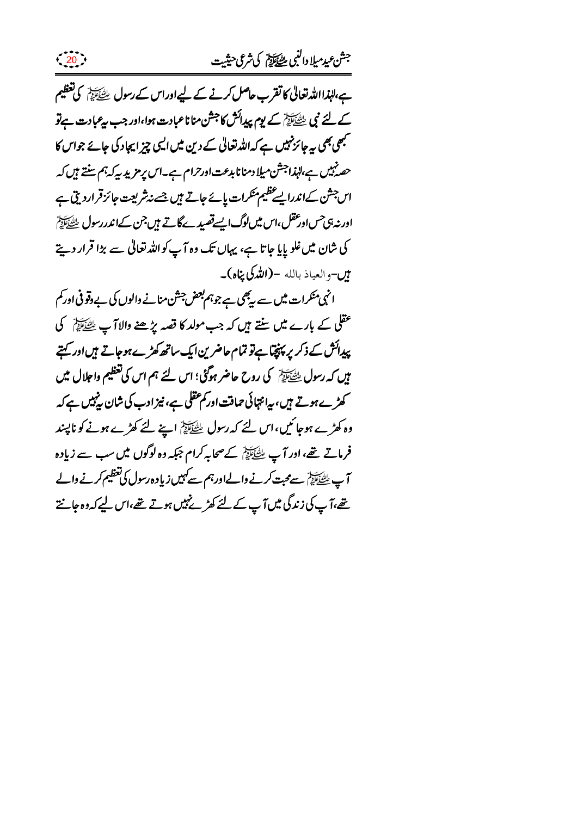ہے،لہٰذااللہ تعالیٰ کا تقرب حاصل کرنے کے لیےاوراس کے رسول ﷺ کی تعظیم کے لئے نبی ﷺ کے یوم پیدائش کا جشن مناناعبادت ہوا،اور جب پیمبادت ہے تو ۔<br>*جھی بھی بیہ جائز نہیں ہے کہ اللہ تع*الی کے دین میں ایسی چیز ایجاد کی جائے جواس کا حصہ نہیں ہے،الہذاجشن میلا دمنا نابدعت اورحرام ہے۔اس پر مزید پر کہ ہم سنتے ہیں کہ اس جش کےاندرالیے ظیم منکرات پائے جاتے ہیں جسے نہ ثریعت جائز قراردیق ہے اور نہ ہی حس اور عقل ،اس میں لوگ ایسے قصید کے لاتے ہیں جن کےاندررسول ﷺ کی شان میں غلو پایا جاتا ہے، یہاں تک وہ آپ کواللہ تعالیٰ سے بڑا قرار دیتے میں-والعیاذ بالله **-(اللہ کی پناہ)۔** 

 $\left( \frac{20}{2} \right)$ 

انہی منکرات میں سے بیٹی ہے جوہم بعض جشن منانے والوں کی بے وقوفی اور کم عقلی کے بارے میں سنتے ہیں کہ جب مولد کا قصہ پڑھنے والاآپ ﷺ کی پیدائش کے ذکر پر پنچتا ہے تو تمام حاضرین ایک ساتھ کھڑے ہوجاتے ہیں اور کہتے میں کہ رسول ﷺ کی روح حاضر ہوگئی؛ اس لئے ہم اس کی تعظیم واجلال میں کھڑے ہوتے ہیں، بیانتہائی حماقت اور کم عقلی ہے، نیز ادب کی شان پنہیں ہے کہ وہ کھڑے ہوجا ئیں، اس لئے کہ رسول ﷺ اپنے لئے کھڑے ہونے کو ناپسند فرماتے تھے، اور آپ ﷺ کےصحابہ کرام جبکہ وہ لوگوں میں سب سے زیادہ آپ ﷺ سے محبت کرنے والےاورہم سے کہیں زیاد ہ رسول کی تعظیم کرنے والے تھے،آپ کی زندگی میں آپ کے لئے کھڑ پنہیں ہوتے تھے،اس لیے کہ دہ جانتے